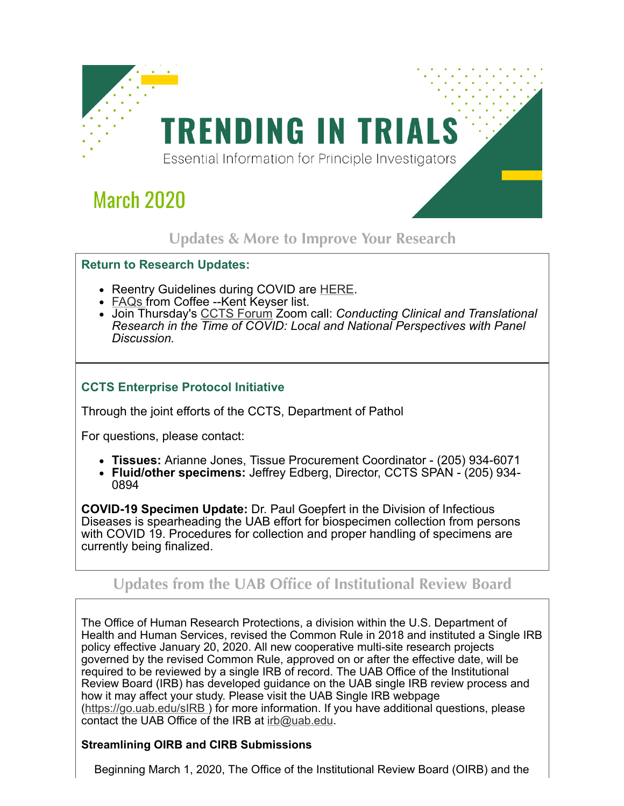

# **March 2020**

## **Updates & More to Improve Your Research**

#### **Return to Research Updates:**

- Reentry Guidelines during COVID are **HERE**.
- [FAQs](http://click.reach.uab.edu/?qs=af5a6d978b2e1c27f7980bdd2e8b76995be2924790de234e79479e5e4547b84d4f90ec9d9b3393a4c339bc5bfacab4aa4ffa9da632281f72c68d3ea8c04616c4) from Coffee --Kent Keyser list.
- Join Thursday's [CCTS Forum](http://click.reach.uab.edu/?qs=af5a6d978b2e1c272094eac3439301e2ce7fc5c1f38743a776377ea7f905386a25aaa83cf77590108add0e1a2460495592b3bdd336832fb27f960fe7b313c1b7) Zoom call: *Conducting Clinical and Translational Research in the Time of COVID: Local and National Perspectives with Panel Discussion.*

### **CCTS Enterprise Protocol Initiative**

Through the joint efforts of the CCTS, Department of Pathol

For questions, please contact:

- **Tissues:** Arianne Jones, Tissue Procurement Coordinator (205) 934-6071
- **Fluid/other specimens:** Jeffrey Edberg, Director, CCTS SPAN (205) 934- 0894

**COVID-19 Specimen Update:** Dr. Paul Goepfert in the Division of Infectious Diseases is spearheading the UAB effort for biospecimen collection from persons with COVID 19. Procedures for collection and proper handling of specimens are currently being finalized.

## **Updates from the UAB Office of Institutional Review Board**

The Office of Human Research Protections, a division within the U.S. Department of Health and Human Services, revised the Common Rule in 2018 and instituted a Single IRB policy effective January 20, 2020. All new cooperative multi-site research projects governed by the revised Common Rule, approved on or after the effective date, will be required to be reviewed by a single IRB of record. The UAB Office of the Institutional Review Board (IRB) has developed guidance on the UAB single IRB review process and how it may affect your study. Please visit the UAB Single IRB webpage ([https://go.uab.edu/sIRB](http://click.reach.uab.edu/?qs=af5a6d978b2e1c2780ed661196ede9f2287d2bd464cc424a20d083654cdb2aa98695154d37e793a0b31988587184ce91248a00bce341b571942bb1660dafc856) ) for more information. If you have additional questions, please contact the UAB Office of the IRB at [irb@uab.edu.](mailto:irb@uab.edu?subject=)

#### **Streamlining OIRB and CIRB Submissions**

Beginning March 1, 2020, The Office of the Institutional Review Board (OIRB) and the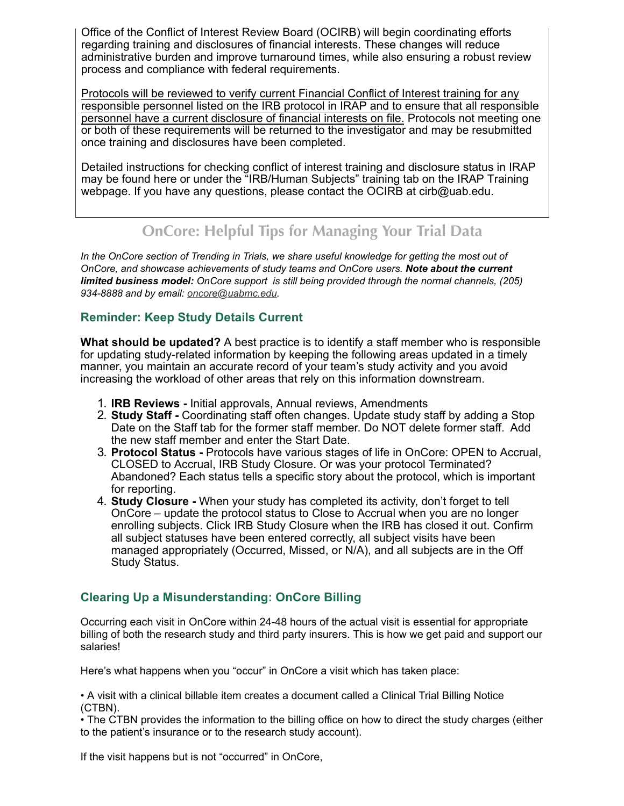Office of the Conflict of Interest Review Board (OCIRB) will begin coordinating efforts regarding training and disclosures of financial interests. These changes will reduce administrative burden and improve turnaround times, while also ensuring a robust review process and compliance with federal requirements.

Protocols will be reviewed to verify current Financial Conflict of Interest training for any responsible personnel listed on the IRB protocol in IRAP and to ensure that all responsible personnel have a current disclosure of financial interests on file. Protocols not meeting one or both of these requirements will be returned to the investigator and may be resubmitted once training and disclosures have been completed.

Detailed instructions for checking conflict of interest training and disclosure status in IRAP may be found here or under the "IRB/Human Subjects" training tab on the IRAP Training webpage. If you have any questions, please contact the OCIRB at cirb@uab.edu.

## **OnCore: Helpful Tips for Managing Your Trial Data**

*In the OnCore section of Trending in Trials, we share useful knowledge for getting the most out of OnCore, and showcase achievements of study teams and OnCore users. Note about the current limited business model: OnCore support is still being provided through the normal channels, (205) 934-8888 and by email: [oncore@uabmc.edu.](mailto:oncore@uabmc.edu?subject=)*

#### **Reminder: Keep Study Details Current**

**What should be updated?** A best practice is to identify a staff member who is responsible for updating study-related information by keeping the following areas updated in a timely manner, you maintain an accurate record of your team's study activity and you avoid increasing the workload of other areas that rely on this information downstream.

- 1. **IRB Reviews** Initial approvals, Annual reviews, Amendments
- 2. **Study Staff -** Coordinating staff often changes. Update study staff by adding a Stop Date on the Staff tab for the former staff member. Do NOT delete former staff. Add the new staff member and enter the Start Date.
- 3. **Protocol Status -** Protocols have various stages of life in OnCore: OPEN to Accrual, CLOSED to Accrual, IRB Study Closure. Or was your protocol Terminated? Abandoned? Each status tells a specific story about the protocol, which is important for reporting.
- 4. **Study Closure** When your study has completed its activity, don't forget to tell OnCore – update the protocol status to Close to Accrual when you are no longer enrolling subjects. Click IRB Study Closure when the IRB has closed it out. Confirm all subject statuses have been entered correctly, all subject visits have been managed appropriately (Occurred, Missed, or N/A), and all subjects are in the Off Study Status.

#### **Clearing Up a Misunderstanding: OnCore Billing**

Occurring each visit in OnCore within 24-48 hours of the actual visit is essential for appropriate billing of both the research study and third party insurers. This is how we get paid and support our salaries!

Here's what happens when you "occur" in OnCore a visit which has taken place:

• A visit with a clinical billable item creates a document called a Clinical Trial Billing Notice (CTBN).

• The CTBN provides the information to the billing office on how to direct the study charges (either to the patient's insurance or to the research study account).

If the visit happens but is not "occurred" in OnCore,